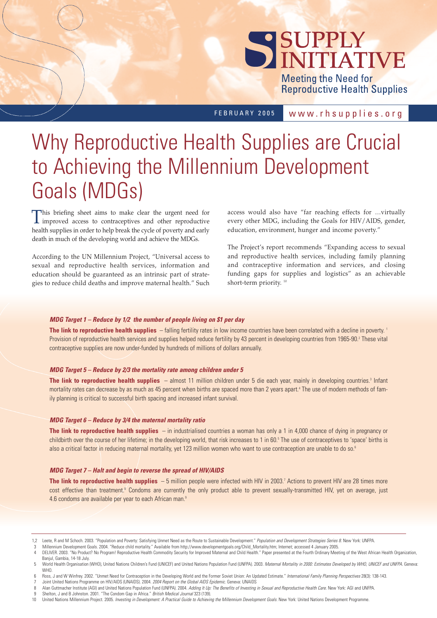# SUPPLY

**Meeting the Need for Reproductive Health Supplies** 

FEBRUARY 2005

www.rhsupplies.org

# Why Reproductive Health Supplies are Crucial to Achieving the Millennium Development Goals (MDGs)

This briefing sheet aims to make clear the urgent need for improved access to contraceptives and other reproductive health supplies in order to help break the cycle of poverty and early death in much of the developing world and achieve the MDGs.

According to the UN Millennium Project, "Universal access to sexual and reproductive health services, information and education should be guaranteed as an intrinsic part of strategies to reduce child deaths and improve maternal health." Such access would also have "far reaching effects for …virtually every other MDG, including the Goals for HIV/AIDS, gender, education, environment, hunger and income poverty."

The Project's report recommends "Expanding access to sexual and reproductive health services, including family planning and contraceptive information and services, and closing funding gaps for supplies and logistics" as an achievable short-term priority.<sup>10</sup>

# *MDG Target 1 – Reduce by 1/2 the number of people living on \$1 per day*

The link to reproductive health supplies - falling fertility rates in low income countries have been correlated with a decline in poverty.<sup>1</sup> Provision of reproductive health services and supplies helped reduce fertility by 43 percent in developing countries from 1965-90.<sup>2</sup> These vital contraceptive supplies are now under-funded by hundreds of millions of dollars annually.

# *MDG Target 5 – Reduce by 2/3 the mortality rate among children under 5*

**The link to reproductive health supplies** – almost 11 million children under 5 die each year, mainly in developing countries.3 Infant mortality rates can decrease by as much as 45 percent when births are spaced more than 2 years apart.<sup>4</sup> The use of modern methods of family planning is critical to successful birth spacing and increased infant survival.

# *MDG Target 6 – Reduce by 3/4 the maternal mortality ratio*

**The link to reproductive health supplies** – in industrialised countries a woman has only a 1 in 4,000 chance of dying in pregnancy or childbirth over the course of her lifetime; in the developing world, that risk increases to 1 in 60.<sup>5</sup> The use of contraceptives to 'space' births is also a critical factor in reducing maternal mortality, yet 123 million women who want to use contraception are unable to do so.<sup>6</sup>

# *MDG Target 7 – Halt and begin to reverse the spread of HIV/AIDS*

**The link to reproductive health supplies** – 5 million people were infected with HIV in 2003.<sup>7</sup> Actions to prevent HIV are 28 times more cost effective than treatment.<sup>8</sup> Condoms are currently the only product able to prevent sexually-transmitted HIV, yet on average, just 4.6 condoms are available per year to each African man.<sup>9</sup>

<sup>1,2</sup> Leete, R and M Schoch. 2003. "Population and Poverty: Satisfying Unmet Need as the Route to Sustainable Development." *Population and Development Strategies Series 8.* New York: UNFPA.

<sup>3</sup> Millennium Development Goals. 2004. "Reduce child mortality." Available from http://www.developmentgoals.org/Child\_Mortality.htm; Internet; accessed 4 January 2005.

<sup>4</sup> DELIVER. 2003. "No Product? No Program! Reproductive Health Commodity Security for Improved Maternal and Child Health." Paper presented at the Fourth Ordinary Meeting of the West African Health Organization, Banjul, Gambia, 14-18 July.

<sup>5</sup> World Health Organisation (WHO), United Nations Children's Fund (UNICEF) and United Nations Population Fund (UNFPA). 2003. *Maternal Mortality in 2000: Estimates Developed by WHO, UNICEF and UNFPA.* Geneva: WHO.

<sup>6</sup> Ross, J and W Winfrey. 2002. "Unmet Need for Contraception in the Developing World and the Former Soviet Union: An Updated Estimate." *International Family Planning Perspectives* 28(3): 138-143.

<sup>7</sup> Joint United Nations Programme on HIV/AIDS (UNAIDS). 2004. *2004 Report on the Global AIDS Epidemic.* Geneva: UNAIDS

<sup>8</sup> Alan Guttmacher Institute (AGI) and United Nations Population Fund (UNFPA). 2004. *Adding It Up: The Benefits of Investing in Sexual and Benroductive Health Care. New York: AGI and UNFPA.* 

<sup>9</sup> Shelton, J and B Johnston. 2001. "The Condom Gap in Africa." *British Medical Journal* 323 (139).

<sup>10</sup> United Nations Millennium Project. 2005. *Investing in Development: A Practical Guide to Achieving the Millennium Development Goals.* New York: United Nations Development Programme.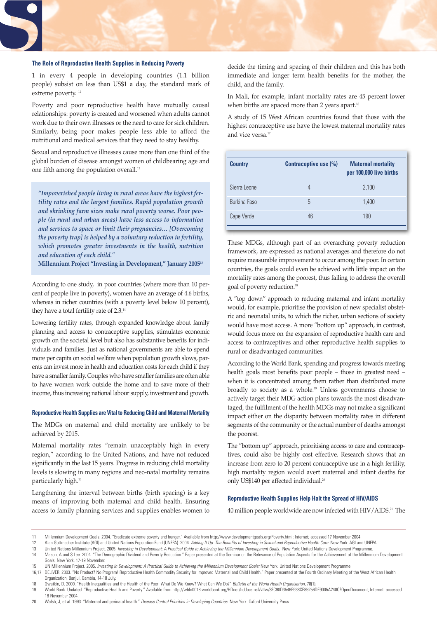#### **The Role of Reproductive Health Supplies in Reducing Poverty**

1 in every 4 people in developing countries (1.1 billion people) subsist on less than US\$1 a day, the standard mark of extreme poverty.<sup>11</sup>

Poverty and poor reproductive health have mutually causal relationships: poverty is created and worsened when adults cannot work due to their own illnesses or the need to care for sick children. Similarly, being poor makes people less able to afford the nutritional and medical services that they need to stay healthy.

Sexual and reproductive illnesses cause more than one third of the global burden of disease amongst women of childbearing age and one fifth among the population overall.<sup>12</sup>

*"Impoverished people living in rural areas have the highest fertility rates and the largest families. Rapid population growth and shrinking farm sizes make rural poverty worse. Poor people (in rural and urban areas) have less access to information and services to space or limit their pregnancies… [Overcoming the poverty trap] is helped by a voluntary reduction in fertility, which promotes greater investments in the health, nutrition and education of each child."*

**Millennium Project "Investing in Development," January 200513**

According to one study, in poor countries (where more than 10 percent of people live in poverty), women have an average of 4.6 births, whereas in richer countries (with a poverty level below 10 percent), they have a total fertility rate of 2.3.14

Lowering fertility rates, through expanded knowledge about family planning and access to contraceptive supplies, stimulates economic growth on the societal level but also has substantive benefits for individuals and families. Just as national governments are able to spend more per capita on social welfare when population growth slows, parents can invest more in health and education costs for each child if they have a smaller family. Couples who have smaller families are often able to have women work outside the home and to save more of their income, thus increasing national labour supply, investment and growth.

#### **Reproductive Health Supplies are Vital to Reducing Child and Maternal Mortality**

The MDGs on maternal and child mortality are unlikely to be achieved by 2015.

Maternal mortality rates "remain unacceptably high in every region," according to the United Nations, and have not reduced significantly in the last 15 years. Progress in reducing child mortality levels is slowing in many regions and neo-natal mortality remains particularly high.15

Lengthening the interval between births (birth spacing) is a key means of improving both maternal and child health. Ensuring access to family planning services and supplies enables women to

decide the timing and spacing of their children and this has both immediate and longer term health benefits for the mother, the child, and the family.

In Mali, for example, infant mortality rates are 45 percent lower when births are spaced more than 2 years apart.<sup>16</sup>

A study of 15 West African countries found that those with the highest contraceptive use have the lowest maternal mortality rates and vice versa.<sup>17</sup>

| <b>Country</b> | Contraceptive use (%) | <b>Maternal mortality</b><br>per 100,000 live births |
|----------------|-----------------------|------------------------------------------------------|
| Sierra Leone   |                       | 2,100                                                |
| Burkina Faso   | 5                     | 1,400                                                |
| Cape Verde     | 46                    | 190                                                  |

These MDGs, although part of an overarching poverty reduction framework, are expressed as national averages and therefore do not require measurable improvement to occur among the poor. In certain countries, the goals could even be achieved with little impact on the mortality rates among the poorest, thus failing to address the overall goal of poverty reduction.18

A "top down" approach to reducing maternal and infant mortality would, for example, prioritise the provision of new specialist obstetric and neonatal units, to which the richer, urban sections of society would have most access. A more "bottom up" approach, in contrast, would focus more on the expansion of reproductive health care and access to contraceptives and other reproductive health supplies to rural or disadvantaged communities.

According to the World Bank, spending and progress towards meeting health goals most benefits poor people – those in greatest need – when it is concentrated among them rather than distributed more broadly to society as a whole.<sup>19</sup> Unless governments choose to actively target their MDG action plans towards the most disadvantaged, the fulfilment of the health MDGs may not make a significant impact either on the disparity between mortality rates in different segments of the community or the actual number of deaths amongst the poorest.

The "bottom up" approach, prioritising access to care and contraceptives, could also be highly cost effective. Research shows that an increase from zero to 20 percent contraceptive use in a high fertility, high mortality region would avert maternal and infant deaths for only US\$140 per affected individual.<sup>20</sup>

### **Reproductive Health Supplies Help Halt the Spread of HIV/AIDS**

40 million people worldwide are now infected with HIV/AIDS.<sup>21</sup> The

13 United Nations Millennium Project. 2005. *Investing in Development: A Practical Guide to Achieving the Millennium Development Goals.* New York: United Nations Development Programme.

- 18 Gwatkin, D. 2000. "Health Inequalities and the Health of the Poor: What Do We Know? What Can We Do?" *Bulletin of the World Health Organisation*, 78(1). 19 World Bank. Undated. "Reproductive Health and Poverty." Available from http://wbln0018.worldbank.org/HDnet/hddocs.nsf/vtlw/8FC90D3546E938CE85256DE9005A248C?OpenDocument; Internet; accessed
- 18 November 2004.

20 Walsh, J, et al. 1993. "Maternal and perinatal health." *Disease Control Priorities in Developing Countries*. New York: Oxford University Press.

<sup>11</sup> Millennium Development Goals. 2004. "Eradicate extreme poverty and hunger." Available from http://www.developmentgoals.org/Poverty.html; Internet; accessed 17 November 2004.

<sup>12</sup> Alan Guttmacher Institute (AGI) and United Nations Population Fund (UNFPA). 2004. *Adding It Up: The Benefits of Investing in Sexual and Reproductive Health Care.* New York: AGI and UNFPA.

<sup>14</sup> Mason, A and S Lee. 2004. "The Demographic Dividend and Poverty Reduction." Paper presented at the Seminar on the Relevance of Population Aspects for the Achievement of the Millennium Development Goals, New York, 17-19 November.

<sup>15</sup> UN Millennium Project. 2005. *Investing in Development: A Practical Guide to Achieving the Millennium Development Goals: New York. United Nations Development Programme<br>16,17 DELIVER. 2003. "No Product? No Program! Repro* DELIVER. 2003. "No Product? No Program! Reproductive Health Commodity Security for Improved Maternal and Child Health." Paper presented at the Fourth Ordinary Meeting of the West African Health Organization, Banjul, Gambia, 14-18 July.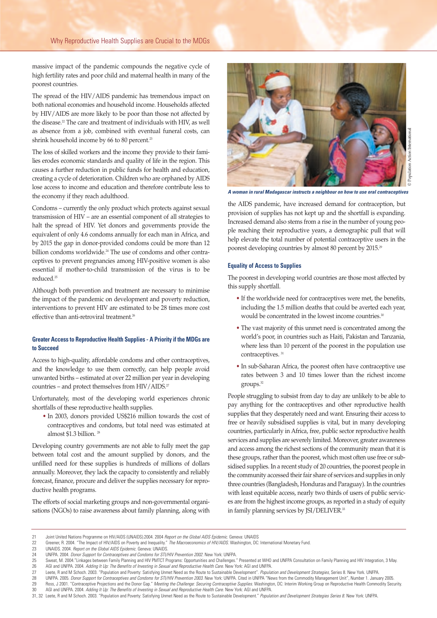massive impact of the pandemic compounds the negative cycle of high fertility rates and poor child and maternal health in many of the poorest countries.

The spread of the HIV/AIDS pandemic has tremendous impact on both national economies and household income. Households affected by HIV/AIDS are more likely to be poor than those not affected by the disease.<sup>22</sup> The care and treatment of individuals with HIV, as well as absence from a job, combined with eventual funeral costs, can shrink household income by 66 to 80 percent.<sup>23</sup>

The loss of skilled workers and the income they provide to their families erodes economic standards and quality of life in the region. This causes a further reduction in public funds for health and education, creating a cycle of deterioration. Children who are orphaned by AIDS lose access to income and education and therefore contribute less to the economy if they reach adulthood.

Condoms – currently the only product which protects against sexual transmission of HIV – are an essential component of all strategies to halt the spread of HIV. Yet donors and governments provide the equivalent of only 4.6 condoms annually for each man in Africa, and by 2015 the gap in donor-provided condoms could be more than 12 billion condoms worldwide.<sup>24</sup> The use of condoms and other contraceptives to prevent pregnancies among HIV-positive women is also essential if mother-to-child transmission of the virus is to be reduced.25

Although both prevention and treatment are necessary to minimise the impact of the pandemic on development and poverty reduction, interventions to prevent HIV are estimated to be 28 times more cost effective than anti-retroviral treatment.<sup>26</sup>

# **Greater Access to Reproductive Health Supplies - A Priority if the MDGs are to Succeed**

Access to high-quality, affordable condoms and other contraceptives, and the knowledge to use them correctly, can help people avoid unwanted births – estimated at over 22 million per year in developing countries – and protect themselves from  $HIV/ALDS$ .<sup>27</sup>

Unfortunately, most of the developing world experiences chronic shortfalls of these reproductive health supplies.

• In 2003, donors provided US\$216 million towards the cost of contraceptives and condoms, but total need was estimated at almost \$1.3 billion.<sup>28</sup>

Developing country governments are not able to fully meet the gap between total cost and the amount supplied by donors, and the unfilled need for these supplies is hundreds of millions of dollars annually. Moreover, they lack the capacity to consistently and reliably forecast, finance, procure and deliver the supplies necessary for reproductive health programs.

The efforts of social marketing groups and non-governmental organisations (NGOs) to raise awareness about family planning, along with



*A woman in rural Madagascar instructs a neighbour on how to use oral contraceptives*

the AIDS pandemic, have increased demand for contraception, but provision of supplies has not kept up and the shortfall is expanding. Increased demand also stems from a rise in the number of young people reaching their reproductive years, a demographic pull that will help elevate the total number of potential contraceptive users in the poorest developing countries by almost 80 percent by 2015.29

#### **Equality of Access to Supplies**

The poorest in developing world countries are those most affected by this supply shortfall.

- If the worldwide need for contraceptives were met, the benefits, including the 1.5 million deaths that could be averted each year, would be concentrated in the lowest income countries.<sup>30</sup>
- The vast majority of this unmet need is concentrated among the world's poor, in countries such as Haiti, Pakistan and Tanzania, where less than 10 percent of the poorest in the population use contraceptives.<sup>31</sup>
- In sub-Saharan Africa, the poorest often have contraceptive use rates between 3 and 10 times lower than the richest income groups.32

People struggling to subsist from day to day are unlikely to be able to pay anything for the contraceptives and other reproductive health supplies that they desperately need and want. Ensuring their access to free or heavily subsidised supplies is vital, but in many developing countries, particularly in Africa, free, public sector reproductive health services and supplies are severely limited. Moreover, greater awareness and access among the richest sections of the community mean that it is these groups, rather than the poorest, which most often use free or subsidised supplies. In a recent study of 20 countries, the poorest people in the community accessed their fair share of services and supplies in only three countries (Bangladesh, Honduras and Paraguay). In the countries with least equitable access, nearly two thirds of users of public services are from the highest income groups, as reported in a study of equity in family planning services by JSI/DELIVER.<sup>33</sup>

<sup>21</sup> Joint United Nations Programme on HIV/AIDS (UNAIDS).2004. 2004 *Report on the Global AIDS Epidemic.* Geneva: UNAIDS

<sup>22</sup> Greener, R. 2004. "The Impact of HIV/AIDS on Poverty and Inequality." *The Macroeconomics of HIV/AIDS.* Washington, DC: International Monetary Fund.

<sup>23</sup> UNAIDS. 2004. *Report on the Global AIDS Epidemic*. Geneva: UNAIDS.

<sup>24</sup> UNFPA. 2004. *Donor Support for Contraceptives and Condoms for STI/HIV Prevention 2002.* New York: UNFPA.

EXTER 2004. "Linkages between Family Planning and HIV PMTCT Programs: Opportunities and Challenges." Presented at WHO and UNFPA Consultation on Family Planning and HIV Integration, 3 May.<br>26 AGI and UNFPA. 2004. Adding It 26 AGI and UNFPA. 2004. *Adding It Up: The Benefits of Investing in Sexual and Reproductive Health Care.* New York: AGI and UNFPA.

<sup>27</sup> Leete, R and M Schoch. 2003. "Population and Poverty: Satisfying Unmet Need as the Route to Sustainable Development". *Population and Development Strategies,* Series 8. New York. UNFPA.

<sup>28</sup> UNFPA. 2005. *Donor Support for Contraceptives and Condoms for STI/HIV Prevention 2003*. New York: UNFPA. Cited in UNFPA "News from the Commodity Management Unit", Number 1. January 2005. 29 Ross, J 2001. "Contraceptive Projections and the Donor Gap." *Meeting the Challenge: Securing Contraceptive Supplies*. Washington, DC: Interim Working Group on Reproductive Health Commodity Security. 30 AGI and UNFPA. 2004. *Adding It Up: The Benefits of Investing in Sexual and Reproductive Health Care.* New York: AGI and UNFPA.

<sup>31, 32</sup> Leete, R and M Schoch. 2003. "Population and Poverty: Satisfying Unmet Need as the Route to Sustainable Development." *Population and Development Strategies Series 8.* New York: UNFPA.